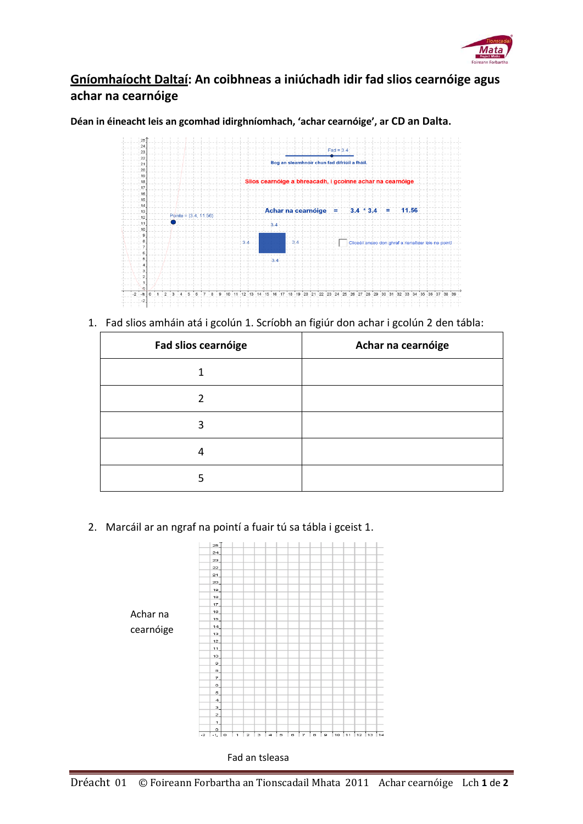

## **Gníomhaíocht Daltaí: An coibhneas a iniúchadh idir fad slios cearnóige agus achar na cearnóige**

**Déan in éineacht leis an gcomhad idirghníomhach, 'achar cearnóige', ar CD an Dalta.**



1. Fad slios amháin atá i gcolún 1. Scríobh an figiúr don achar i gcolún 2 den tábla:

| Fad slios cearnóige | Achar na cearnóige |
|---------------------|--------------------|
|                     |                    |
|                     |                    |
|                     |                    |
|                     |                    |
|                     |                    |

2. Marcáil ar an ngraf na pointí a fuair tú sa tábla i gceist 1.